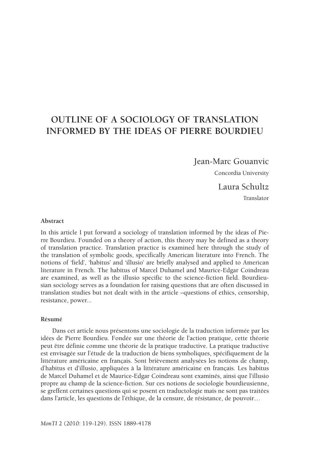# **Outline of a Sociology of Translation Informed by the Ideas of Pierre Bourdieu**

Jean-Marc Gouanvic

Concordia University

Laura Schultz Translator

#### **Abstract**

In this article I put forward a sociology of translation informed by the ideas of Pierre Bourdieu. Founded on a theory of action, this theory may be defined as a theory of translation practice. Translation practice is examined here through the study of the translation of symbolic goods, specifically American literature into French. The notions of 'field', 'habitus' and 'illusio' are briefly analysed and applied to American literature in French. The habitus of Marcel Duhamel and Maurice-Edgar Coindreau are examined, as well as the illusio specific to the science-fiction field. Bourdieusian sociology serves as a foundation for raising questions that are often discussed in translation studies but not dealt with in the article –questions of ethics, censorship, resistance, power...

#### **Résumé**

Dans cet article nous présentons une sociologie de la traduction informée par les idées de Pierre Bourdieu. Fondée sur une théorie de l'action pratique, cette théorie peut être définie comme une théorie de la pratique traductive. La pratique traductive est envisagée sur l'étude de la traduction de biens symboliques, spécifiquement de la littérature américaine en français. Sont brièvement analysées les notions de champ, d'habitus et d'illusio, appliquées à la littérature américaine en français. Les habitus de Marcel Duhamel et de Maurice-Edgar Coindreau sont examinés, ainsi que l'illusio propre au champ de la science-fiction. Sur ces notions de sociologie bourdieusienne, se greffent certaines questions qui se posent en traductologie mais ne sont pas traitées dans l'article, les questions de l'éthique, de la censure, de résistance, de pouvoir…

*MonTI* 2 (2010: 119-129). ISSN 1889-4178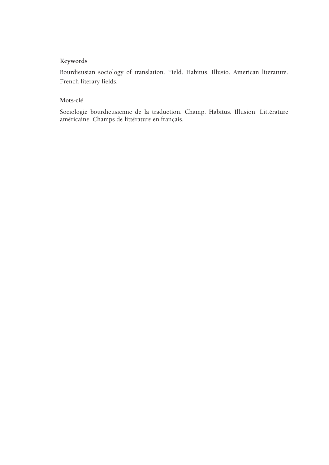# **Keywords**

Bourdieusian sociology of translation. Field. Habitus. Illusio. American literature. French literary fields.

# **Mots-clé**

Sociologie bourdieusienne de la traduction. Champ. Habitus. Illusion. Littérature américaine. Champs de littérature en français.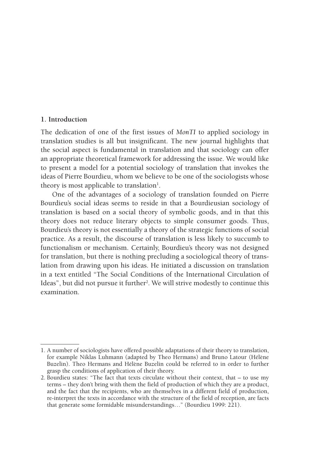#### **1. Introduction**

The dedication of one of the first issues of *MonTI* to applied sociology in translation studies is all but insignificant. The new journal highlights that the social aspect is fundamental in translation and that sociology can offer an appropriate theoretical framework for addressing the issue. We would like to present a model for a potential sociology of translation that invokes the ideas of Pierre Bourdieu, whom we believe to be one of the sociologists whose theory is most applicable to translation<sup>1</sup>.

One of the advantages of a sociology of translation founded on Pierre Bourdieu's social ideas seems to reside in that a Bourdieusian sociology of translation is based on a social theory of symbolic goods, and in that this theory does not reduce literary objects to simple consumer goods. Thus, Bourdieu's theory is not essentially a theory of the strategic functions of social practice. As a result, the discourse of translation is less likely to succumb to functionalism or mechanism. Certainly, Bourdieu's theory was not designed for translation, but there is nothing precluding a sociological theory of translation from drawing upon his ideas. He initiated a discussion on translation in a text entitled "The Social Conditions of the International Circulation of Ideas", but did not pursue it further<sup>2</sup>. We will strive modestly to continue this examination.

<sup>1.</sup> A number of sociologists have offered possible adaptations of their theory to translation, for example Niklas Luhmann (adapted by Theo Hermans) and Bruno Latour (Hélène Buzelin). Theo Hermans and Hélène Buzelin could be referred to in order to further grasp the conditions of application of their theory.

<sup>2.</sup> Bourdieu states: "The fact that texts circulate without their context, that – to use my terms – they don't bring with them the field of production of which they are a product, and the fact that the recipients, who are themselves in a different field of production, re-interpret the texts in accordance with the structure of the field of reception, are facts that generate some formidable misunderstandings…" (Bourdieu 1999: 221).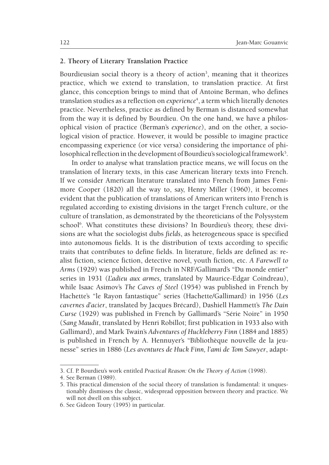# **2. Theory of Literary Translation Practice**

Bourdieusian social theory is a theory of action<sup>3</sup>, meaning that it theorizes practice, which we extend to translation, to translation practice. At first glance, this conception brings to mind that of Antoine Berman, who defines translation studies as a reflection on *experience*<sup>4</sup> , a term which literally denotes practice. Nevertheless, practice as defined by Berman is distanced somewhat from the way it is defined by Bourdieu. On the one hand, we have a philosophical vision of practice (Berman's *experience*), and on the other, a sociological vision of practice. However, it would be possible to imagine practice encompassing experience (or vice versa) considering the importance of philosophical reflection in the development of Bourdieu's sociological framework $^5$ .

In order to analyse what translation practice means, we will focus on the translation of literary texts, in this case American literary texts into French. If we consider American literature translated into French from James Fenimore Cooper (1820) all the way to, say, Henry Miller (1960), it becomes evident that the publication of translations of American writers into French is regulated according to existing divisions in the target French culture, or the culture of translation, as demonstrated by the theoreticians of the Polysystem school<sup>6</sup>. What constitutes these divisions? In Bourdieu's theory, these divisions are what the sociologist dubs *fields*, as heterogeneous space is specified into autonomous fields. It is the distribution of texts according to specific traits that contributes to define fields. In literature, fields are defined as: realist fiction, science fiction, detective novel, youth fiction, etc. *A Farewell to Arms* (1929) was published in French in NRF/Gallimard's "Du monde entier" series in 1931 (*L'adieu aux armes,* translated by Maurice-Edgar Coindreau), while Isaac Asimov's *The Caves of Steel* (1954) was published in French by Hachette's "le Rayon fantastique" series (Hachette/Gallimard) in 1956 (*Les cavernes d'acier*, translated by Jacques Brécard), Dashiell Hammett's *The Dain Curse* (1929) was published in French by Gallimard's "Série Noire" in 1950 (*Sang Maudit*, translated by Henri Robillot; first publication in 1933 also with Gallimard), and Mark Twain's *Adventures of Huckleberry Finn* (1884 and 1885) is published in French by A. Hennuyer's "Bibliothèque nouvelle de la jeunesse" series in 1886 (*Les aventures de Huck Finn, l'ami de Tom Sawyer*, adapt-

<sup>3.</sup> Cf. P. Bourdieu's work entitled *Practical Reason: On the Theory of Action* (1998).

<sup>4.</sup> See Berman (1989).

<sup>5.</sup> This practical dimension of the social theory of translation is fundamental: it unquestionably dismisses the classic, widespread opposition between theory and practice. We will not dwell on this subject.

<sup>6.</sup> See Gideon Toury (1995) in particular.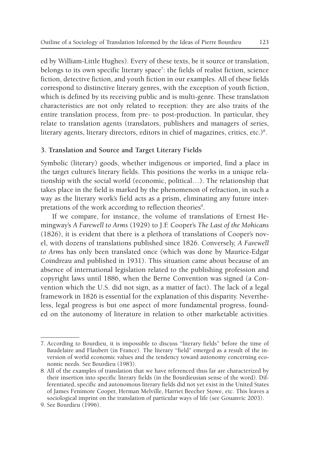ed by William-Little Hughes). Every of these texts, be it source or translation, belongs to its own specific literary space<sup>7</sup>: the fields of realist fiction, science fiction, detective fiction, and youth fiction in our examples. All of these fields correspond to distinctive literary genres, with the exception of youth fiction, which is defined by its receiving public and is multi-genre. These translation characteristics are not only related to reception: they are also traits of the entire translation process, from pre- to post-production. In particular, they relate to translation agents (translators, publishers and managers of series, literary agents, literary directors, editors in chief of magazines, critics, etc.) $^8$ .

# **3. Translation and Source and Target Literary Fields**

Symbolic (literary) goods, whether indigenous or imported, find a place in the target culture's literary fields. This positions the works in a unique relationship with the social world (economic, political…). The relationship that takes place in the field is marked by the phenomenon of refraction, in such a way as the literary work's field acts as a prism, eliminating any future interpretations of the work according to reflection theories<sup>9</sup>.

If we compare, for instance, the volume of translations of Ernest Hemingway's *A Farewell to Arms* (1929) to J.F. Cooper's *The Last of the Mohicans* (1826), it is evident that there is a plethora of translations of Cooper's novel, with dozens of translations published since 1826. Conversely, *A Farewell to Arms* has only been translated once (which was done by Maurice-Edgar Coindreau and published in 1931). This situation came about because of an absence of international legislation related to the publishing profession and copyright laws until 1886, when the Berne Convention was signed (a Convention which the U.S. did not sign, as a matter of fact). The lack of a legal framework in 1826 is essential for the explanation of this disparity. Nevertheless, legal progress is but one aspect of more fundamental progress, founded on the autonomy of literature in relation to other marketable activities.

<sup>7.</sup> According to Bourdieu, it is impossible to discuss "literary fields" before the time of Baudelaire and Flaubert (in France). The literary "field" emerged as a result of the inversion of world economic values and the tendency toward autonomy concerning economic needs. See Bourdieu (1983).

<sup>8.</sup> All of the examples of translation that we have referenced thus far are characterized by their insertion into specific literary fields (in the Bourdieusian sense of the word). Differentiated, specific and autonomous literary fields did not yet exist in the United States of James Fenimore Cooper, Herman Melville, Harriet Beecher Stowe, etc. This leaves a sociological imprint on the translation of particular ways of life (see Gouanvic 2003).

<sup>9.</sup> See Bourdieu (1996).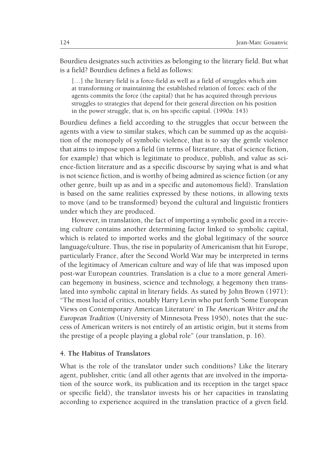Bourdieu designates such activities as belonging to the literary field. But what is a field? Bourdieu defines a field as follows:

[...] the literary field is a force-field as well as a field of struggles which aim at transforming or maintaining the established relation of forces: each of the agents commits the force (the capital) that he has acquired through previous struggles to strategies that depend for their general direction on his position in the power struggle, that is, on his specific capital. (1990a: 143)

Bourdieu defines a field according to the struggles that occur between the agents with a view to similar stakes, which can be summed up as the acquisition of the monopoly of symbolic violence, that is to say the gentle violence that aims to impose upon a field (in terms of literature, that of science fiction, for example) that which is legitimate to produce, publish, and value as science-fiction literature and as a specific discourse by saying what is and what is not science fiction, and is worthy of being admired as science fiction (or any other genre, built up as and in a specific and autonomous field). Translation is based on the same realities expressed by these notions, in allowing texts to move (and to be transformed) beyond the cultural and linguistic frontiers under which they are produced.

However, in translation, the fact of importing a symbolic good in a receiving culture contains another determining factor linked to symbolic capital, which is related to imported works and the global legitimacy of the source language/culture. Thus, the rise in popularity of Americanism that hit Europe, particularly France, after the Second World War may be interpreted in terms of the legitimacy of American culture and way of life that was imposed upon post-war European countries. Translation is a clue to a more general American hegemony in business, science and technology, a hegemony then translated into symbolic capital in literary fields. As stated by John Brown (1971): "The most lucid of critics, notably Harry Levin who put forth 'Some European Views on Contemporary American Literature' in *The American Writer and the European Tradition* (University of Minnesota Press 1950), notes that the success of American writers is not entirely of an artistic origin, but it stems from the prestige of a people playing a global role" (our translation, p. 16).

#### **4. The Habitus of Translators**

What is the role of the translator under such conditions? Like the literary agent, publisher, critic (and all other agents that are involved in the importation of the source work, its publication and its reception in the target space or specific field), the translator invests his or her capacities in translating according to experience acquired in the translation practice of a given field.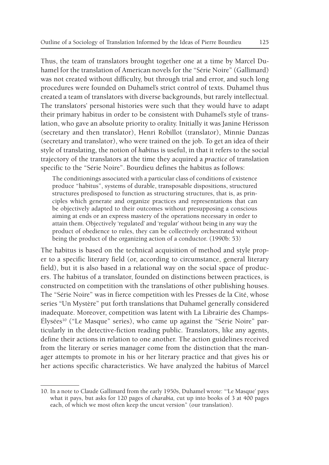Thus, the team of translators brought together one at a time by Marcel Duhamel for the translation of American novels for the "Série Noire" (Gallimard) was not created without difficulty, but through trial and error, and such long procedures were founded on Duhamel's strict control of texts. Duhamel thus created a team of translators with diverse backgrounds, but rarely intellectual. The translators' personal histories were such that they would have to adapt their primary habitus in order to be consistent with Duhamel's style of translation, who gave an absolute priority to orality. Initially it was Janine Hérisson (secretary and then translator), Henri Robillot (translator), Minnie Danzas (secretary and translator), who were trained on the job. To get an idea of their style of translating, the notion of *habitus* is useful, in that it refers to the social trajectory of the translators at the time they acquired a *practice* of translation specific to the "Série Noire". Bourdieu defines the habitus as follows:

The conditionings associated with a particular class of conditions of existence produce "habitus", systems of durable, transposable dispositions, structured structures predisposed to function as structuring structures, that is, as principles which generate and organize practices and representations that can be objectively adapted to their outcomes without presupposing a conscious aiming at ends or an express mastery of the operations necessary in order to attain them. Objectively 'regulated' and 'regular' without being in any way the product of obedience to rules, they can be collectively orchestrated without being the product of the organizing action of a conductor. (1990b: 53)

The habitus is based on the technical acquisition of method and style proper to a specific literary field (or, according to circumstance, general literary field), but it is also based in a relational way on the social space of producers. The habitus of a translator, founded on distinctions between practices, is constructed on competition with the translations of other publishing houses. The "Série Noire" was in fierce competition with les Presses de la Cité, whose series "Un Mystère" put forth translations that Duhamel generally considered inadequate. Moreover, competition was latent with La Librairie des Champs-Élysées<sup>10</sup> ("Le Masque" series), who came up against the "Série Noire" particularly in the detective-fiction reading public. Translators, like any agents, define their actions in relation to one another. The action guidelines received from the literary or series manager come from the distinction that the manager attempts to promote in his or her literary practice and that gives his or her actions specific characteristics. We have analyzed the habitus of Marcel

<sup>10.</sup> In a note to Claude Gallimard from the early 1950s, Duhamel wrote: "'Le Masque' pays what it pays, but asks for 120 pages of *charabia,* cut up into books of 3 at 400 pages each, of which we most often keep the uncut version" (our translation).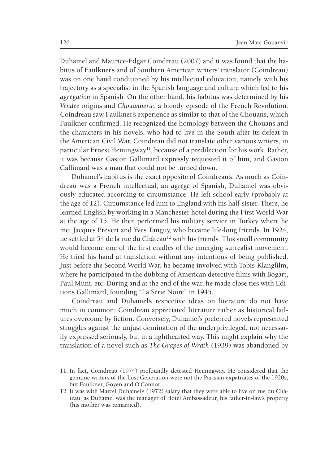Duhamel and Maurice-Edgar Coindreau (2007) and it was found that the habitus of Faulkner's and of Southern American writers' translator (Coindreau) was on one hand conditioned by his intellectual education, namely with his trajectory as a specialist in the Spanish language and culture which led to his *agrégation* in Spanish*.* On the other hand, his habitus was determined by his *Vendée* origins and *Chouannerie*, a bloody episode of the French Revolution. Coindreau saw Faulkner's experience as similar to that of the Chouans, which Faulkner confirmed. He recognized the homology between the Chouans and the characters in his novels, who had to live in the South after its defeat in the American Civil War. Coindreau did not translate other various writers, in particular Ernest Hemingway<sup>11</sup>, because of a predilection for his work. Rather, it was because Gaston Gallimard expressly requested it of him, and Gaston Gallimard was a man that could not be turned down.

Duhamel's habitus is the exact opposite of Coindreau's. As much as Coindreau was a French intellectual, an *agrégé* of Spanish, Duhamel was obviously educated according to circumstance. He left school early (probably at the age of 12). Circumstance led him to England with his half-sister. There, he learned English by working in a Manchester hotel during the First World War at the age of 15. He then performed his military service in Turkey where he met Jacques Prévert and Yves Tanguy, who became life-long friends. In 1924, he settled at 54 de la rue du Château<sup>12</sup> with his friends. This small community would become one of the first cradles of the emerging surrealist movement. He tried his hand at translation without any intentions of being published. Just before the Second World War, he became involved with Tobis-Klangfilm, where he participated in the dubbing of American detective films with Bogart, Paul Muni, etc. During and at the end of the war, he made close ties with Éditions Gallimard, founding "La Série Noire" in 1945.

Coindreau and Duhamel's respective ideas on literature do not have much in common: Coindreau appreciated literature rather as historical failures overcome by fiction. Conversely, Duhamel's preferred novels represented struggles against the unjust domination of the underprivileged, not necessarily expressed seriously, but in a lighthearted way. This might explain why the translation of a novel such as *The Grapes of Wrath* (1939) was abandoned by

<sup>11.</sup> In fact, Coindreau (1974) profoundly detested Hemingway. He considered that the genuine writers of the Lost Generation were not the Parisian expatriates of the 1920s, but Faulkner, Goyen and O'Connor.

<sup>12.</sup> It was with Marcel Duhamel's (1972) salary that they were able to live on rue du Château, as Duhamel was the manager of Hotel Ambassadeur, his father-in-law's property (his mother was remarried).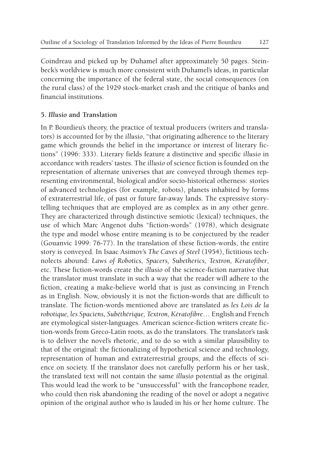Coindreau and picked up by Duhamel after approximately 50 pages. Steinbeck's worldview is much more consistent with Duhamel's ideas, in particular concerning the importance of the federal state, the social consequences (on the rural class) of the 1929 stock-market crash and the critique of banks and financial institutions.

# **5.** *Illusio* **and Translation**

In P. Bourdieu's theory, the practice of textual producers (writers and translators) is accounted for by the *illusio*, "that originating adherence to the literary game which grounds the belief in the importance or interest of literary fictions" (1996: 333). Literary fields feature a distinctive and specific *illusio* in accordance with readers' tastes. The *illusio* of science fiction is founded on the representation of alternate universes that are conveyed through themes representing environmental, biological and/or socio-historical otherness: stories of advanced technologies (for example, robots), planets inhabited by forms of extraterrestrial life, of past or future far-away lands. The expressive storytelling techniques that are employed are as complex as in any other genre. They are characterized through distinctive semiotic (lexical) techniques, the use of which Marc Angenot dubs "fiction-words" (1978), which designate the type and model whose entire meaning is to be conjectured by the reader (Gouanvic 1999: 76-77). In the translation of these fiction-words, the entire story is conveyed. In Isaac Asimov's *The Caves of Steel* (1954), fictitious technolects abound: *Laws of Robotics, Spacers, Subetherics, Textron, Keratofiber*, etc. These fiction-words create the *illusio* of the science-fiction narrative that the translator must translate in such a way that the reader will adhere to the fiction, creating a make-believe world that is just as convincing in French as in English. Now, obviously it is not the fiction-words that are difficult to translate. The fiction-words mentioned above are translated as *les Lois de la robotique, les Spaciens, Subéthérique, Textron, Kératofibre*… English and French are etymological sister-languages. American science-fiction writers create fiction-words from Greco-Latin roots, as do the translators. The translator's task is to deliver the novel's rhetoric, and to do so with a similar plausibility to that of the original: the fictionalizing of hypothetical science and technology, representation of human and extraterrestrial groups, and the effects of science on society. If the translator does not carefully perform his or her task, the translated text will not contain the same *illusio* potential as the original. This would lead the work to be "unsuccessful" with the francophone reader, who could then risk abandoning the reading of the novel or adopt a negative opinion of the original author who is lauded in his or her home culture. The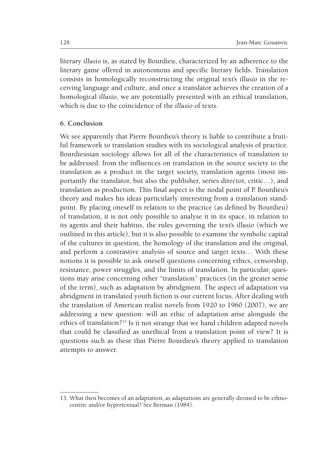literary *illusio* is, as stated by Bourdieu, characterized by an adherence to the literary game offered in autonomous and specific literary fields. Translation consists in homologically reconstructing the original text's *illusio* in the receiving language and culture, and once a translator achieves the creation of a homological *illusio*, we are potentially presented with an ethical translation, which is due to the coincidence of the *illusio* of texts.

#### **6. Conclusion**

We see apparently that Pierre Bourdieu's theory is liable to contribute a fruitful framework to translation studies with its sociological analysis of practice. Bourdieusian sociology allows for all of the characteristics of translation to be addressed: from the influences on translation in the source society to the translation as a product in the target society, translation agents (most importantly the translator, but also the publisher, series director, critic…), and translation as production. This final aspect is the nodal point of P. Bourdieu's theory and makes his ideas particularly interesting from a translation standpoint. By placing oneself in relation to the practice (as defined by Bourdieu) of translation, it is not only possible to analyse it in its space, in relation to its agents and their habitus, the rules governing the text's *illusio* (which we outlined in this article), but it is also possible to examine the symbolic capital of the cultures in question, the homology of the translation and the original, and perform a contrastive analysis of source and target texts… With these notions it is possible to ask oneself questions concerning ethics, censorship, resistance, power struggles, and the limits of translation. In particular, questions may arise concerning other "translation" practices (in the greater sense of the term), such as adaptation by abridgment. The aspect of adaptation via abridgment in translated youth fiction is our current focus. After dealing with the translation of American realist novels from 1920 to 1960 (2007), we are addressing a new question: will an ethic of adaptation arise alongside the ethics of translation?13 Is it not strange that we hand children adapted novels that could be classified as unethical from a translation point of view? It is questions such as these that Pierre Bourdieu's theory applied to translation attempts to answer.

<sup>13.</sup> What then becomes of an adaptation, as adaptations are generally deemed to be ethnocentric and/or hypertextual? See Berman (1984).